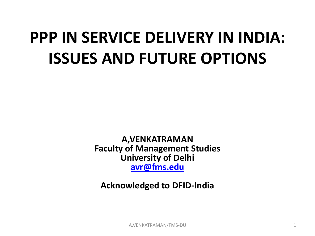## **PPP IN SERVICE DELIVERY IN INDIA: ISSUES AND FUTURE OPTIONS**

**A,VENKATRAMAN Faculty of Management Studies University of Delhi [avr@fms.edu](mailto:avr@fms.edu)**

**Acknowledged to DFID-India**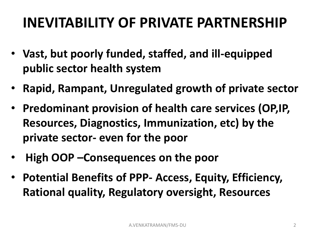## **INEVITABILITY OF PRIVATE PARTNERSHIP**

- **Vast, but poorly funded, staffed, and ill-equipped public sector health system**
- **Rapid, Rampant, Unregulated growth of private sector**
- **Predominant provision of health care services (OP,IP, Resources, Diagnostics, Immunization, etc) by the private sector- even for the poor**
- **High OOP –Consequences on the poor**
- **Potential Benefits of PPP- Access, Equity, Efficiency, Rational quality, Regulatory oversight, Resources**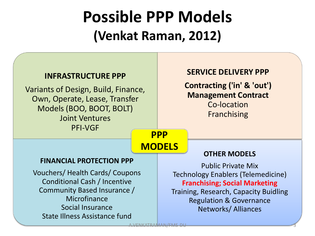## **Possible PPP Models (Venkat Raman, 2012)**

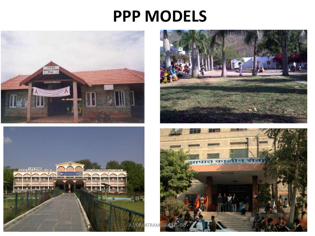### **PPP MODELS**







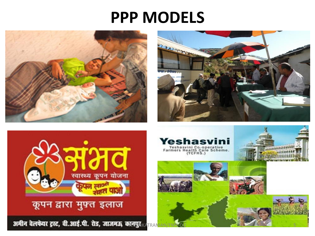### **PPP MODELS**







#### कूपन द्वारा मुफ्त इलाज

अमीन वेलफेयर ट्रस्ट, वी.आई.पी. रोड, जाजमऊ, कानपुर KATR

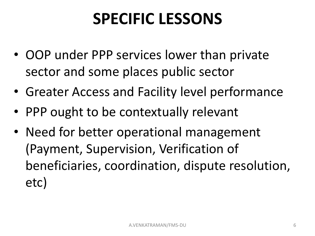## **SPECIFIC LESSONS**

- OOP under PPP services lower than private sector and some places public sector
- Greater Access and Facility level performance
- PPP ought to be contextually relevant
- Need for better operational management (Payment, Supervision, Verification of beneficiaries, coordination, dispute resolution, etc)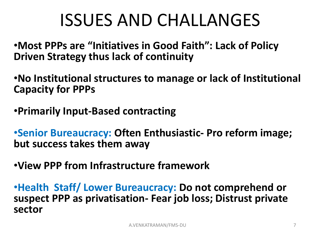## ISSUES AND CHALLANGES

•**Most PPPs are "Initiatives in Good Faith": Lack of Policy Driven Strategy thus lack of continuity** 

•**No Institutional structures to manage or lack of Institutional Capacity for PPPs**

•**Primarily Input-Based contracting**

•**Senior Bureaucracy: Often Enthusiastic- Pro reform image; but success takes them away**

•**View PPP from Infrastructure framework**

•**Health Staff/ Lower Bureaucracy: Do not comprehend or suspect PPP as privatisation- Fear job loss; Distrust private sector**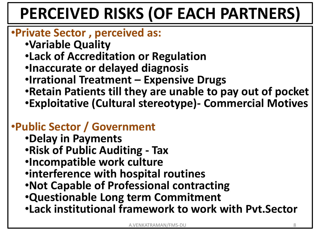# **PERCEIVED RISKS (OF EACH PARTNERS)**

#### •**Private Sector , perceived as:**

- •**Variable Quality**
- •**Lack of Accreditation or Regulation**
- •**Inaccurate or delayed diagnosis**
- •**Irrational Treatment – Expensive Drugs**
- •**Retain Patients till they are unable to pay out of pocket** •**Exploitative (Cultural stereotype)- Commercial Motives**

#### •**Public Sector / Government**

- •**Delay in Payments**
- •**Risk of Public Auditing - Tax**
- •**Incompatible work culture**
- •**interference with hospital routines**
- •**Not Capable of Professional contracting**
- •**Questionable Long term Commitment**
- •**Lack institutional framework to work with Pvt.Sector**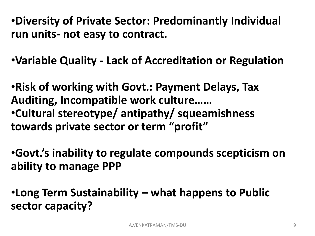•**Diversity of Private Sector: Predominantly Individual run units- not easy to contract.** 

•**Variable Quality - Lack of Accreditation or Regulation**

•**Risk of working with Govt.: Payment Delays, Tax Auditing, Incompatible work culture……**  •**Cultural stereotype/ antipathy/ squeamishness towards private sector or term "profit"**

•**Govt.'s inability to regulate compounds scepticism on ability to manage PPP**

•**Long Term Sustainability – what happens to Public sector capacity?**